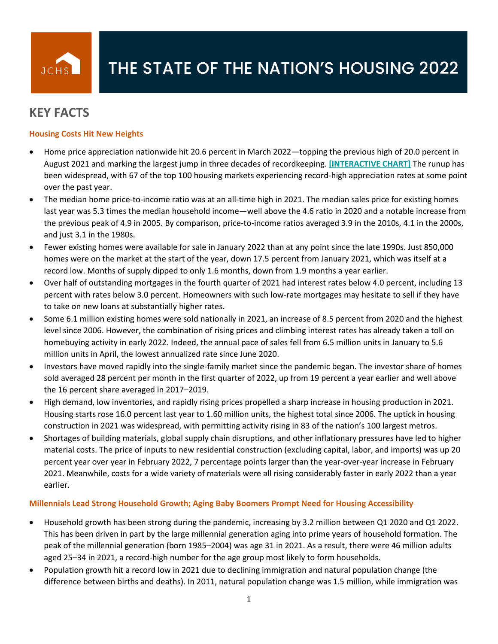

# **KEY FACTS**

## **Housing Costs Hit New Heights**

- Home price appreciation nationwide hit 20.6 percent in March 2022—topping the previous high of 20.0 percent in August 2021 and marking the largest jump in three decades of recordkeeping. **[\[INTERACTIVE CHART\]](https://www.jchs.harvard.edu/son-2022-home-price-growth)** The runup has been widespread, with 67 of the top 100 housing markets experiencing record-high appreciation rates at some point over the past year.
- The median home price-to-income ratio was at an all-time high in 2021. The median sales price for existing homes last year was 5.3 times the median household income—well above the 4.6 ratio in 2020 and a notable increase from the previous peak of 4.9 in 2005. By comparison, price-to-income ratios averaged 3.9 in the 2010s, 4.1 in the 2000s, and just 3.1 in the 1980s.
- Fewer existing homes were available for sale in January 2022 than at any point since the late 1990s. Just 850,000 homes were on the market at the start of the year, down 17.5 percent from January 2021, which was itself at a record low. Months of supply dipped to only 1.6 months, down from 1.9 months a year earlier.
- Over half of outstanding mortgages in the fourth quarter of 2021 had interest rates below 4.0 percent, including 13 percent with rates below 3.0 percent. Homeowners with such low-rate mortgages may hesitate to sell if they have to take on new loans at substantially higher rates.
- Some 6.1 million existing homes were sold nationally in 2021, an increase of 8.5 percent from 2020 and the highest level since 2006. However, the combination of rising prices and climbing interest rates has already taken a toll on homebuying activity in early 2022. Indeed, the annual pace of sales fell from 6.5 million units in January to 5.6 million units in April, the lowest annualized rate since June 2020.
- Investors have moved rapidly into the single-family market since the pandemic began. The investor share of homes sold averaged 28 percent per month in the first quarter of 2022, up from 19 percent a year earlier and well above the 16 percent share averaged in 2017–2019.
- High demand, low inventories, and rapidly rising prices propelled a sharp increase in housing production in 2021. Housing starts rose 16.0 percent last year to 1.60 million units, the highest total since 2006. The uptick in housing construction in 2021 was widespread, with permitting activity rising in 83 of the nation's 100 largest metros.
- Shortages of building materials, global supply chain disruptions, and other inflationary pressures have led to higher material costs. The price of inputs to new residential construction (excluding capital, labor, and imports) was up 20 percent year over year in February 2022, 7 percentage points larger than the year-over-year increase in February 2021. Meanwhile, costs for a wide variety of materials were all rising considerably faster in early 2022 than a year earlier.

#### **Millennials Lead Strong Household Growth; Aging Baby Boomers Prompt Need for Housing Accessibility**

- Household growth has been strong during the pandemic, increasing by 3.2 million between Q1 2020 and Q1 2022. This has been driven in part by the large millennial generation aging into prime years of household formation. The peak of the millennial generation (born 1985–2004) was age 31 in 2021. As a result, there were 46 million adults aged 25–34 in 2021, a record-high number for the age group most likely to form households.
- Population growth hit a record low in 2021 due to declining immigration and natural population change (the difference between births and deaths). In 2011, natural population change was 1.5 million, while immigration was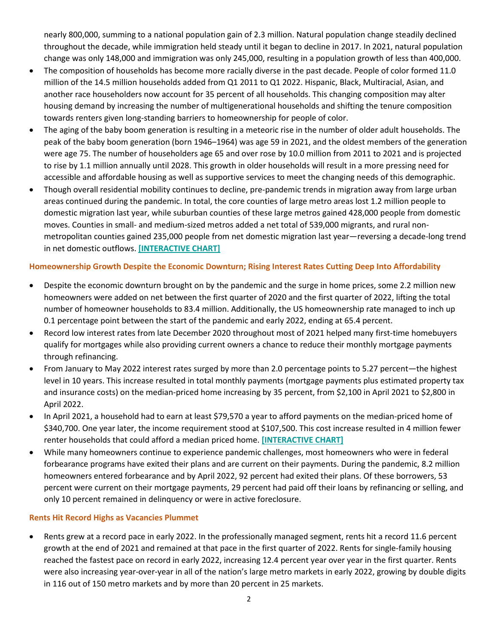nearly 800,000, summing to a national population gain of 2.3 million. Natural population change steadily declined throughout the decade, while immigration held steady until it began to decline in 2017. In 2021, natural population change was only 148,000 and immigration was only 245,000, resulting in a population growth of less than 400,000.

- The composition of households has become more racially diverse in the past decade. People of color formed 11.0 million of the 14.5 million households added from Q1 2011 to Q1 2022. Hispanic, Black, Multiracial, Asian, and another race householders now account for 35 percent of all households. This changing composition may alter housing demand by increasing the number of multigenerational households and shifting the tenure composition towards renters given long-standing barriers to homeownership for people of color.
- The aging of the baby boom generation is resulting in a meteoric rise in the number of older adult households. The peak of the baby boom generation (born 1946–1964) was age 59 in 2021, and the oldest members of the generation were age 75. The number of householders age 65 and over rose by 10.0 million from 2011 to 2021 and is projected to rise by 1.1 million annually until 2028. This growth in older households will result in a more pressing need for accessible and affordable housing as well as supportive services to meet the changing needs of this demographic.
- Though overall residential mobility continues to decline, pre-pandemic trends in migration away from large urban areas continued during the pandemic. In total, the core counties of large metro areas lost 1.2 million people to domestic migration last year, while suburban counties of these large metros gained 428,000 people from domestic moves. Counties in small- and medium-sized metros added a net total of 539,000 migrants, and rural nonmetropolitan counties gained 235,000 people from net domestic migration last year—reversing a decade-long trend in net domestic outflows. **[\[INTERACTIVE CHART\]](https://www.jchs.harvard.edu/son-2022-migration)**

#### **Homeownership Growth Despite the Economic Downturn; Rising Interest Rates Cutting Deep Into Affordability**

- Despite the economic downturn brought on by the pandemic and the surge in home prices, some 2.2 million new homeowners were added on net between the first quarter of 2020 and the first quarter of 2022, lifting the total number of homeowner households to 83.4 million. Additionally, the US homeownership rate managed to inch up 0.1 percentage point between the start of the pandemic and early 2022, ending at 65.4 percent.
- Record low interest rates from late December 2020 throughout most of 2021 helped many first-time homebuyers qualify for mortgages while also providing current owners a chance to reduce their monthly mortgage payments through refinancing.
- From January to May 2022 interest rates surged by more than 2.0 percentage points to 5.27 percent—the highest level in 10 years. This increase resulted in total monthly payments (mortgage payments plus estimated property tax and insurance costs) on the median-priced home increasing by 35 percent, from \$2,100 in April 2021 to \$2,800 in April 2022.
- In April 2021, a household had to earn at least \$79,570 a year to afford payments on the median-priced home of \$340,700. One year later, the income requirement stood at \$107,500. This cost increase resulted in 4 million fewer renter households that could afford a median priced home. **[\[INTERACTIVE CHART\]](https://www.jchs.harvard.edu/son-2022-affordability)**
- While many homeowners continue to experience pandemic challenges, most homeowners who were in federal forbearance programs have exited their plans and are current on their payments. During the pandemic, 8.2 million homeowners entered forbearance and by April 2022, 92 percent had exited their plans. Of these borrowers, 53 percent were current on their mortgage payments, 29 percent had paid off their loans by refinancing or selling, and only 10 percent remained in delinquency or were in active foreclosure.

#### **Rents Hit Record Highs as Vacancies Plummet**

• Rents grew at a record pace in early 2022. In the professionally managed segment, rents hit a record 11.6 percent growth at the end of 2021 and remained at that pace in the first quarter of 2022. Rents for single-family housing reached the fastest pace on record in early 2022, increasing 12.4 percent year over year in the first quarter. Rents were also increasing year-over-year in all of the nation's large metro markets in early 2022, growing by double digits in 116 out of 150 metro markets and by more than 20 percent in 25 markets.